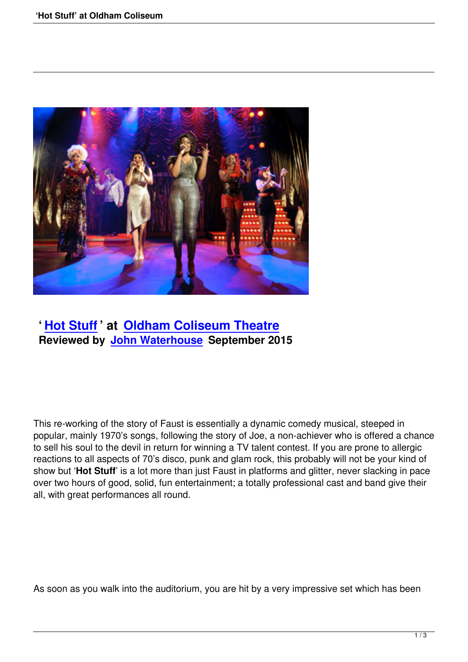

## **' Hot Stuff ' at Oldham Coliseum Theatre Reviewed by John Waterhouse September 2015**

This re-working of the story of Faust is essentially a dynamic comedy musical, steeped in popular, mainly 1970's songs, following the story of Joe, a non-achiever who is offered a chance to sell his soul to the devil in return for winning a TV talent contest. If you are prone to allergic reactions to all aspects of 70's disco, punk and glam rock, this probably will not be your kind of show but '**Hot Stuff**' is a lot more than just Faust in platforms and glitter, never slacking in pace over two hours of good, solid, fun entertainment; a totally professional cast and band give their all, with great performances all round.

As soon as you walk into the auditorium, you are hit by a very impressive set which has been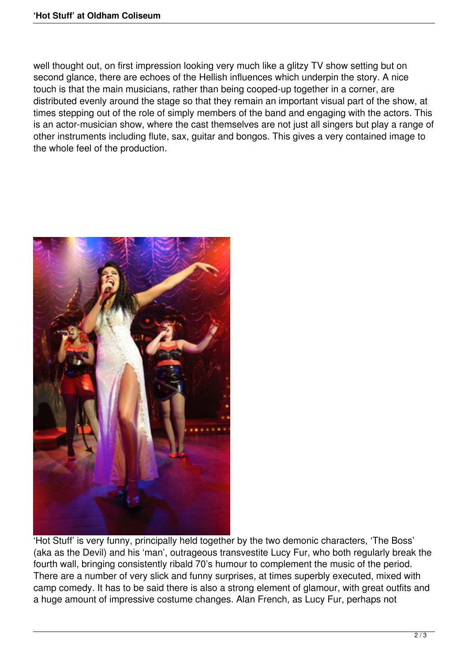well thought out, on first impression looking very much like a glitzy TV show setting but on second glance, there are echoes of the Hellish influences which underpin the story. A nice touch is that the main musicians, rather than being cooped-up together in a corner, are distributed evenly around the stage so that they remain an important visual part of the show, at times stepping out of the role of simply members of the band and engaging with the actors. This is an actor-musician show, where the cast themselves are not just all singers but play a range of other instruments including flute, sax, guitar and bongos. This gives a very contained image to the whole feel of the production.



'Hot Stuff' is very funny, principally held together by the two demonic characters, 'The Boss' (aka as the Devil) and his 'man', outrageous transvestite Lucy Fur, who both regularly break the fourth wall, bringing consistently ribald 70's humour to complement the music of the period. There are a number of very slick and funny surprises, at times superbly executed, mixed with camp comedy. It has to be said there is also a strong element of glamour, with great outfits and a huge amount of impressive costume changes. Alan French, as Lucy Fur, perhaps not